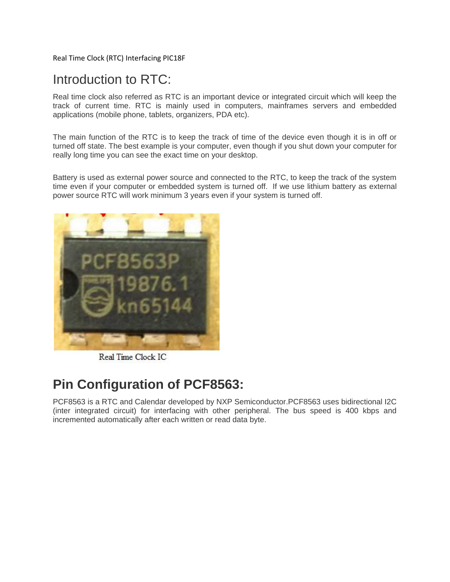Real Time Clock (RTC) Interfacing PIC18F

## Introduction to RTC:

Real time clock also referred as RTC is an important device or integrated circuit which will keep the track of current time. RTC is mainly used in computers, mainframes servers and embedded applications (mobile phone, tablets, organizers, PDA etc).

The main function of the RTC is to keep the track of time of the device even though it is in off or turned off state. The best example is your computer, even though if you shut down your computer for really long time you can see the exact time on your desktop.

Battery is used as external power source and connected to the RTC, to keep the track of the system time even if your computer or embedded system is turned off. If we use lithium battery as external power source RTC will work minimum 3 years even if your system is turned off.



Real Time Clock IC

## **Pin Configuration of PCF8563:**

PCF8563 is a RTC and Calendar developed by NXP Semiconductor.PCF8563 uses bidirectional I2C (inter integrated circuit) for interfacing with other peripheral. The bus speed is 400 kbps and incremented automatically after each written or read data byte.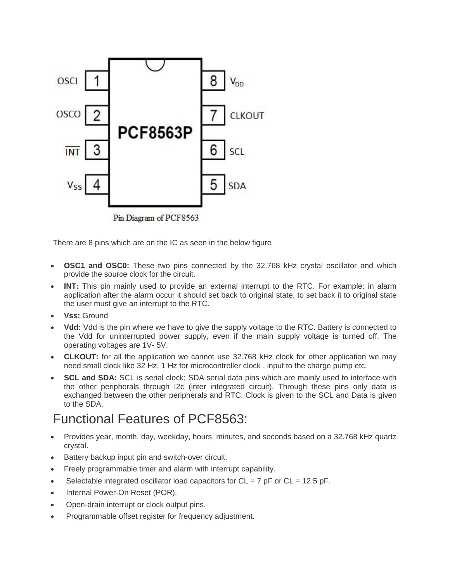

Pin Diagram of PCF8563

There are 8 pins which are on the IC as seen in the below figure

- **OSC1 and OSC0:** These two pins connected by the 32.768 kHz crystal oscillator and which provide the source clock for the circuit.
- **INT:** This pin mainly used to provide an external interrupt to the RTC. For example: in alarm application after the alarm occur it should set back to original state, to set back it to original state the user must give an interrupt to the RTC.
- **Vss:** Ground
- **Vdd:** Vdd is the pin where we have to give the supply voltage to the RTC. Battery is connected to the Vdd for uninterrupted power supply, even if the main supply voltage is turned off. The operating voltages are 1V- 5V.
- **CLKOUT:** for all the application we cannot use 32.768 kHz clock for other application we may need small clock like 32 Hz, 1 Hz for microcontroller clock , input to the charge pump etc.
- **SCL and SDA:** SCL is serial clock; SDA serial data pins which are mainly used to interface with the other peripherals through I2c (inter integrated circuit). Through these pins only data is exchanged between the other peripherals and RTC. Clock is given to the SCL and Data is given to the SDA.

## Functional Features of PCF8563:

- Provides year, month, day, weekday, hours, minutes, and seconds based on a 32.768 kHz quartz crystal.
- Battery backup input pin and switch-over circuit.
- Freely programmable timer and alarm with interrupt capability.
- Selectable integrated oscillator load capacitors for  $CL = 7$  pF or  $CL = 12.5$  pF.
- Internal Power-On Reset (POR).
- Open-drain interrupt or clock output pins.
- Programmable offset register for frequency adjustment.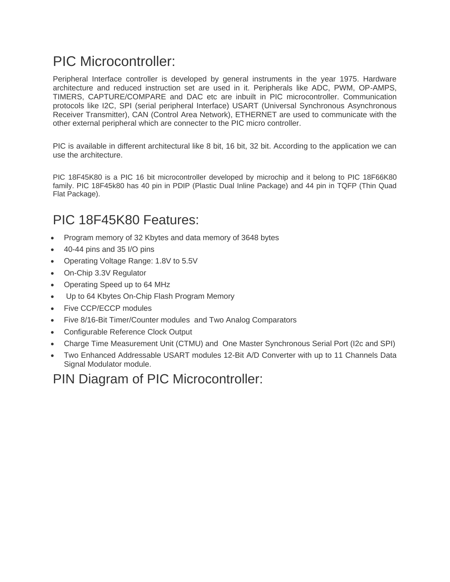# PIC Microcontroller:

Peripheral Interface controller is developed by general instruments in the year 1975. Hardware architecture and reduced instruction set are used in it. Peripherals like ADC, PWM, OP-AMPS, TIMERS, CAPTURE/COMPARE and DAC etc are inbuilt in PIC microcontroller. Communication protocols like I2C, SPI (serial peripheral Interface) USART (Universal Synchronous Asynchronous Receiver Transmitter), CAN (Control Area Network), ETHERNET are used to communicate with the other external peripheral which are connecter to the PIC micro controller.

PIC is available in different architectural like 8 bit, 16 bit, 32 bit. According to the application we can use the architecture.

PIC 18F45K80 is a PIC 16 bit microcontroller developed by microchip and it belong to PIC 18F66K80 family. PIC 18F45k80 has 40 pin in PDIP (Plastic Dual Inline Package) and 44 pin in TQFP (Thin Quad Flat Package).

## PIC 18F45K80 Features:

- Program memory of 32 Kbytes and data memory of 3648 bytes
- 40-44 pins and 35 I/O pins
- Operating Voltage Range: 1.8V to 5.5V
- On-Chip 3.3V Regulator
- Operating Speed up to 64 MHz
- Up to 64 Kbytes On-Chip Flash Program Memory
- Five CCP/ECCP modules
- Five 8/16-Bit Timer/Counter modules and Two Analog Comparators
- Configurable Reference Clock Output
- Charge Time Measurement Unit (CTMU) and One Master Synchronous Serial Port (I2c and SPI)
- Two Enhanced Addressable USART modules 12-Bit A/D Converter with up to 11 Channels Data Signal Modulator module.

### PIN Diagram of PIC Microcontroller: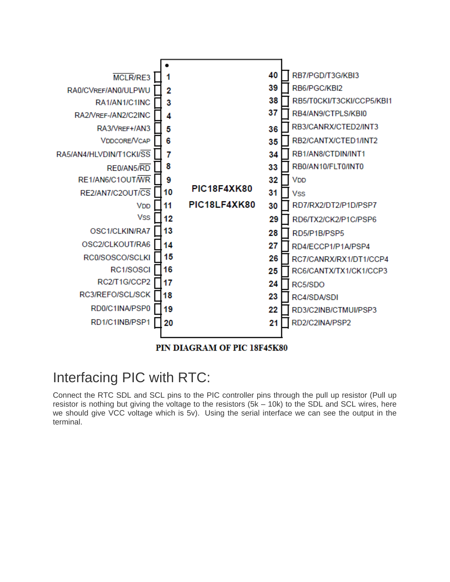

# Interfacing PIC with RTC:

Connect the RTC SDL and SCL pins to the PIC controller pins through the pull up resistor (Pull up resistor is nothing but giving the voltage to the resistors (5k – 10k) to the SDL and SCL wires, here we should give VCC voltage which is 5v). Using the serial interface we can see the output in the terminal.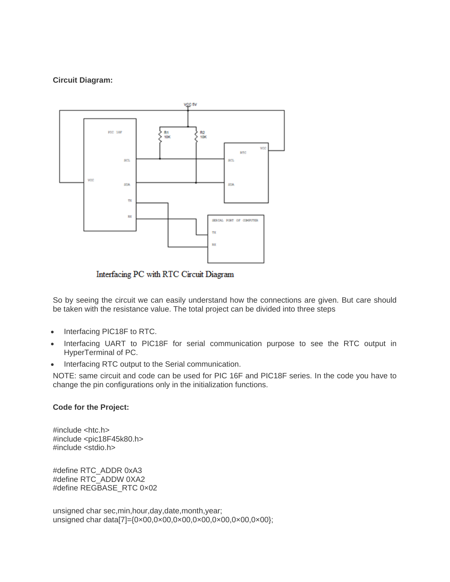### **Circuit Diagram:**



Interfacing PC with RTC Circuit Diagram

So by seeing the circuit we can easily understand how the connections are given. But care should be taken with the resistance value. The total project can be divided into three steps

- Interfacing PIC18F to RTC.
- Interfacing UART to PIC18F for serial communication purpose to see the RTC output in HyperTerminal of PC.
- Interfacing RTC output to the Serial communication.

NOTE: same circuit and code can be used for PIC 16F and PIC18F series. In the code you have to change the pin configurations only in the initialization functions.

#### **Code for the Project:**

#include <htc.h> #include <pic18F45k80.h> #include <stdio.h>

#define RTC\_ADDR 0xA3 #define RTC\_ADDW 0XA2 #define REGBASE\_RTC 0×02

unsigned char sec,min,hour,day,date,month,year; unsigned char data[7]={0x00,0x00,0x00,0x00,0x00,0x00,0x00};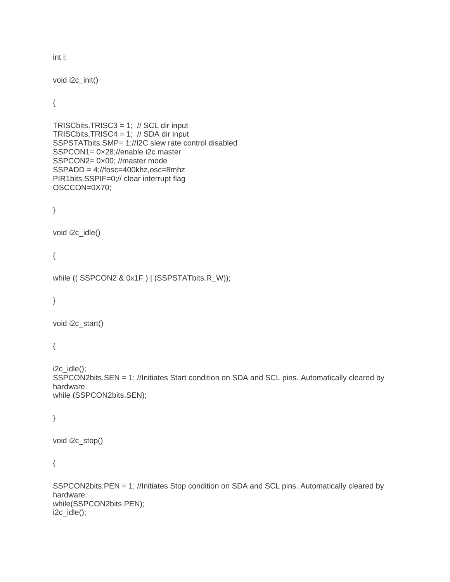int i;

void i2c\_init()

{

```
TRISCbits.TRISC3 = 1; // SCL dir input
TRISCbits.TRISC4 = 1; // SDA dir input
SSPSTATbits.SMP= 1;//I2C slew rate control disabled
SSPCON1= 0×28;//enable i2c master
SSPCON2= 0×00; //master mode
SSPADD = 4;//fosc=400khz,osc=8mhz
PIR1bits.SSPIF=0;// clear interrupt flag
OSCCON=0X70;
```
}

```
void i2c_idle()
```
{

```
while (( SSPCON2 & 0x1F ) | (SSPSTATbits.R_W));
```
}

void i2c\_start()

{

 $i2c$   $idle$ ); SSPCON2bits.SEN = 1; //Initiates Start condition on SDA and SCL pins. Automatically cleared by hardware. while (SSPCON2bits.SEN);

}

```
void i2c_stop()
```
{

SSPCON2bits.PEN = 1; //Initiates Stop condition on SDA and SCL pins. Automatically cleared by hardware. while(SSPCON2bits.PEN); i2c\_idle();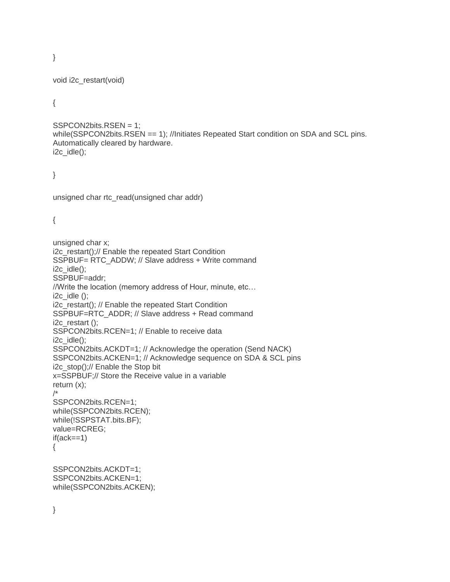}

```
void i2c_restart(void)
```
{

```
SSPCON2bits.RSEN = 1;
while(SSPCON2bits.RSEN == 1); //Initiates Repeated Start condition on SDA and SCL pins.
Automatically cleared by hardware.
i2c_idle();
```
}

```
unsigned char rtc_read(unsigned char addr)
```
{

```
unsigned char x;
i2c_restart();// Enable the repeated Start Condition
SSPBUF= RTC_ADDW; // Slave address + Write command
i2c_idle();
SSPBUF=addr;
//Write the location (memory address of Hour, minute, etc…
i2cidle ();
i2c_restart(); // Enable the repeated Start Condition
SSPBUF=RTC_ADDR; // Slave address + Read command
i2c_restart ();
SSPCON2bits.RCEN=1; // Enable to receive data
i2c idle);
SSPCON2bits.ACKDT=1; // Acknowledge the operation (Send NACK)
SSPCON2bits.ACKEN=1; // Acknowledge sequence on SDA & SCL pins
i2c_stop();// Enable the Stop bit
x=SSPBUF;// Store the Receive value in a variable
return (x);
/*
SSPCON2bits.RCEN=1;
while(SSPCON2bits.RCEN);
while(!SSPSTAT.bits.BF);
value=RCREG;
if(ack==1){
SSPCON2bits.ACKDT=1;
SSPCON2bits.ACKEN=1;
while(SSPCON2bits.ACKEN);
```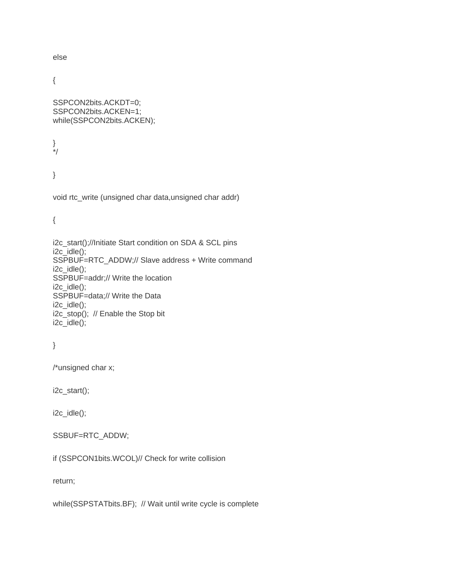else

{

SSPCON2bits.ACKDT=0; SSPCON2bits.ACKEN=1; while(SSPCON2bits.ACKEN);

} \*/

}

void rtc\_write (unsigned char data,unsigned char addr)

{

i2c\_start();//Initiate Start condition on SDA & SCL pins i2c\_idle(); SSPBUF=RTC\_ADDW;// Slave address + Write command i2c\_idle(); SSPBUF=addr;// Write the location i2c\_idle(); SSPBUF=data;// Write the Data i2c\_idle(); i2c\_stop(); // Enable the Stop bit i2c\_idle();

```
}
```
/\*unsigned char x;

i2c\_start();

i2c\_idle();

### SSBUF=RTC\_ADDW;

if (SSPCON1bits.WCOL)// Check for write collision

return;

while(SSPSTATbits.BF); // Wait until write cycle is complete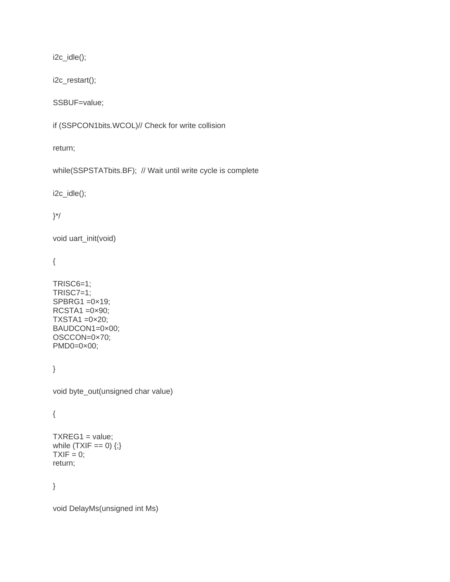i2c\_idle();

i2c\_restart();

SSBUF=value;

if (SSPCON1bits.WCOL)// Check for write collision

return;

while(SSPSTATbits.BF); // Wait until write cycle is complete

i2c\_idle();

}\*/

void uart\_init(void)

{

TRISC6=1; TRISC7=1; SPBRG1 =0×19;  $RCSTA1 = 0 \times 90$ ;  $TXSTA1 = 0 \times 20$ ; BAUDCON1=0×00; OSCCON=0×70; PMD0=0×00;

}

void byte\_out(unsigned char value)

{

 $TXREG1 = value;$ while  $(TXIF == 0)$   $\{$ ; $\}$  $TXIF = 0;$ return;

}

void DelayMs(unsigned int Ms)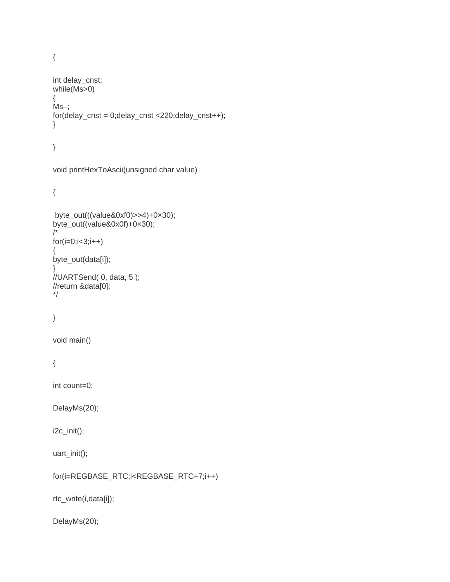{

```
int delay_cnst;
while(Ms>0)
{
Ms–;
for(delay_cnst = 0;delay_cnst <220;delay_cnst++);
}
}
```

```
void printHexToAscii(unsigned char value)
```
{

```
byte_out(((value&0xf0)>>4)+0×30);
byte_out((value&0x0f)+0×30);
/*
for(i=0;i<3;i++){
byte_out(data[i]);
}
//UARTSend( 0, data, 5 );
//return &data[0];
*/
```

```
}
```
void main()

```
{
```
int count=0;

DelayMs(20);

i2c\_init();

```
uart_init();
```

```
for(i=REGBASE_RTC;i<REGBASE_RTC+7;i++)
```
rtc\_write(i,data[i]);

DelayMs(20);